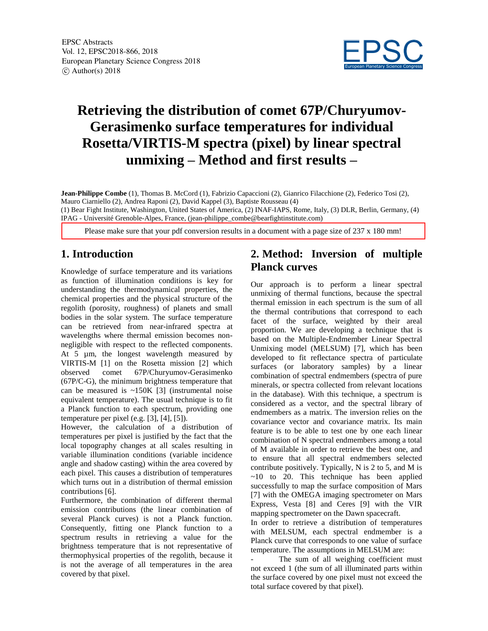

# **Retrieving the distribution of comet 67P/Churyumov-Gerasimenko surface temperatures for individual Rosetta/VIRTIS-M spectra (pixel) by linear spectral unmixing – Method and first results –**

**Jean-Philippe Combe** (1), Thomas B. McCord (1), Fabrizio Capaccioni (2), Gianrico Filacchione (2), Federico Tosi (2), Mauro Ciarniello (2), Andrea Raponi (2), David Kappel (3), Baptiste Rousseau (4) (1) Bear Fight Institute, Washington, United States of America, (2) INAF-IAPS, Rome, Italy, (3) DLR, Berlin, Germany, (4) IPAG - Université Grenoble-Alpes, France, (jean-philippe\_combe@bearfightinstitute.com)

Please make sure that your pdf conversion results in a document with a page size of 237 x 180 mm!

## **1. Introduction**

Knowledge of surface temperature and its variations as function of illumination conditions is key for understanding the thermodynamical properties, the chemical properties and the physical structure of the regolith (porosity, roughness) of planets and small bodies in the solar system. The surface temperature can be retrieved from near-infrared spectra at wavelengths where thermal emission becomes nonnegligible with respect to the reflected components. At 5  $\mu$ m, the longest wavelength measured by VIRTIS-M [1] on the Rosetta mission [2] which observed comet 67P/Churyumov-Gerasimenko (67P/C-G), the minimum brightness temperature that can be measured is  $\sim$ 150K [3] (instrumental noise equivalent temperature). The usual technique is to fit a Planck function to each spectrum, providing one temperature per pixel (e.g. [3], [4], [5]).

However, the calculation of a distribution of temperatures per pixel is justified by the fact that the local topography changes at all scales resulting in variable illumination conditions (variable incidence angle and shadow casting) within the area covered by each pixel. This causes a distribution of temperatures which turns out in a distribution of thermal emission contributions [6].

Furthermore, the combination of different thermal emission contributions (the linear combination of several Planck curves) is not a Planck function. Consequently, fitting one Planck function to a spectrum results in retrieving a value for the brightness temperature that is not representative of thermophysical properties of the regolith, because it is not the average of all temperatures in the area covered by that pixel.

### **2. Method: Inversion of multiple Planck curves**

Our approach is to perform a linear spectral unmixing of thermal functions, because the spectral thermal emission in each spectrum is the sum of all the thermal contributions that correspond to each facet of the surface, weighted by their areal proportion. We are developing a technique that is based on the Multiple-Endmember Linear Spectral Unmixing model (MELSUM) [7], which has been developed to fit reflectance spectra of particulate surfaces (or laboratory samples) by a linear combination of spectral endmembers (spectra of pure minerals, or spectra collected from relevant locations in the database). With this technique, a spectrum is considered as a vector, and the spectral library of endmembers as a matrix. The inversion relies on the covariance vector and covariance matrix. Its main feature is to be able to test one by one each linear combination of N spectral endmembers among a total of M available in order to retrieve the best one, and to ensure that all spectral endmembers selected contribute positively. Typically, N is 2 to 5, and M is  $~10$  to 20. This technique has been applied successfully to map the surface composition of Mars [7] with the OMEGA imaging spectrometer on Mars Express, Vesta [8] and Ceres [9] with the VIR mapping spectrometer on the Dawn spacecraft.

In order to retrieve a distribution of temperatures with MELSUM, each spectral endmember is a Planck curve that corresponds to one value of surface temperature. The assumptions in MELSUM are:

The sum of all weighing coefficient must not exceed 1 (the sum of all illuminated parts within the surface covered by one pixel must not exceed the total surface covered by that pixel).